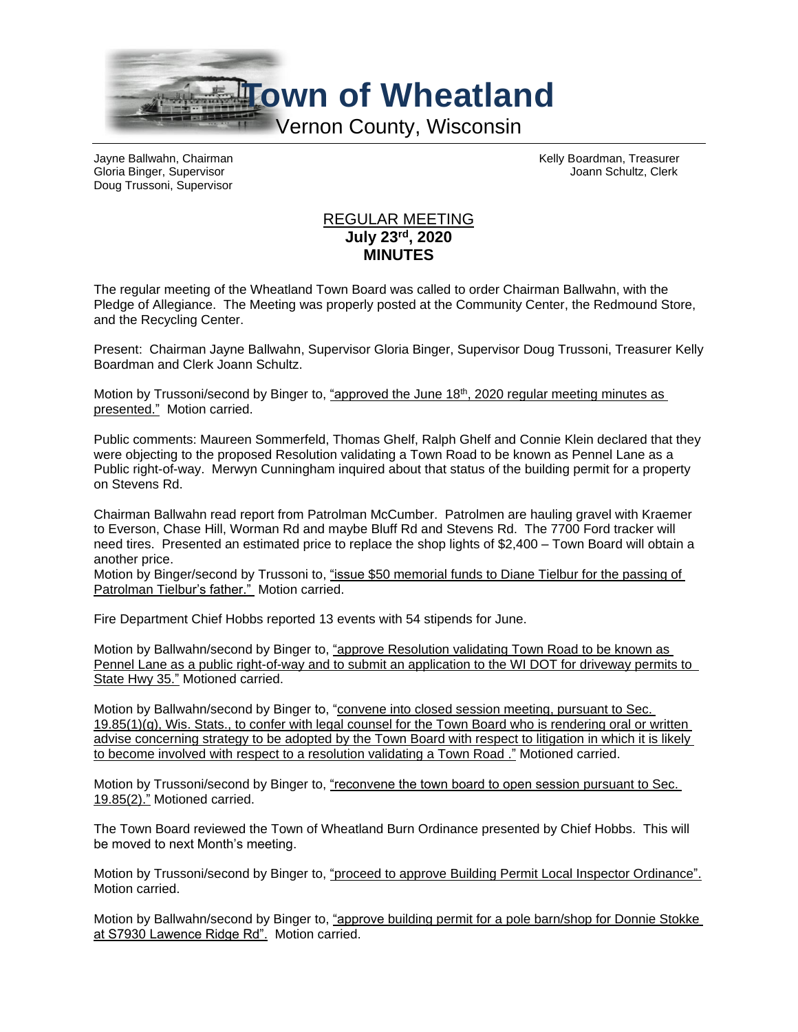

Gloria Binger, Supervisor Joann Schultz, Clerk Doug Trussoni, Supervisor

Jayne Ballwahn, Chairman Kelly Boardman, Treasurer

## REGULAR MEETING **July 23rd, 2020 MINUTES**

The regular meeting of the Wheatland Town Board was called to order Chairman Ballwahn, with the Pledge of Allegiance. The Meeting was properly posted at the Community Center, the Redmound Store, and the Recycling Center.

Present: Chairman Jayne Ballwahn, Supervisor Gloria Binger, Supervisor Doug Trussoni, Treasurer Kelly Boardman and Clerk Joann Schultz.

Motion by Trussoni/second by Binger to, "approved the June 18<sup>th</sup>, 2020 regular meeting minutes as presented." Motion carried.

Public comments: Maureen Sommerfeld, Thomas Ghelf, Ralph Ghelf and Connie Klein declared that they were objecting to the proposed Resolution validating a Town Road to be known as Pennel Lane as a Public right-of-way. Merwyn Cunningham inquired about that status of the building permit for a property on Stevens Rd.

Chairman Ballwahn read report from Patrolman McCumber. Patrolmen are hauling gravel with Kraemer to Everson, Chase Hill, Worman Rd and maybe Bluff Rd and Stevens Rd. The 7700 Ford tracker will need tires. Presented an estimated price to replace the shop lights of \$2,400 – Town Board will obtain a another price.

Motion by Binger/second by Trussoni to, "issue \$50 memorial funds to Diane Tielbur for the passing of Patrolman Tielbur's father." Motion carried.

Fire Department Chief Hobbs reported 13 events with 54 stipends for June.

Motion by Ballwahn/second by Binger to, "approve Resolution validating Town Road to be known as Pennel Lane as a public right-of-way and to submit an application to the WI DOT for driveway permits to State Hwy 35." Motioned carried.

Motion by Ballwahn/second by Binger to, "convene into closed session meeting, pursuant to Sec. 19.85(1)(g), Wis. Stats., to confer with legal counsel for the Town Board who is rendering oral or written advise concerning strategy to be adopted by the Town Board with respect to litigation in which it is likely to become involved with respect to a resolution validating a Town Road ." Motioned carried.

Motion by Trussoni/second by Binger to, "reconvene the town board to open session pursuant to Sec. 19.85(2)." Motioned carried.

The Town Board reviewed the Town of Wheatland Burn Ordinance presented by Chief Hobbs. This will be moved to next Month's meeting.

Motion by Trussoni/second by Binger to, "proceed to approve Building Permit Local Inspector Ordinance". Motion carried.

Motion by Ballwahn/second by Binger to, "approve building permit for a pole barn/shop for Donnie Stokke at S7930 Lawence Ridge Rd". Motion carried.